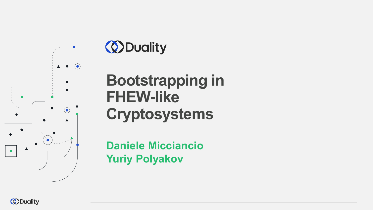

# *<u>ODuality</u>*

**Bootstrapping in FHEW-like Cryptosystems**

**Daniele Micciancio Yuriy Polyakov**

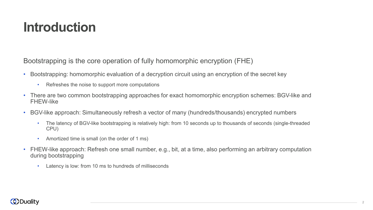### **Introduction**

Bootstrapping is the core operation of fully homomorphic encryption (FHE)

- Bootstrapping: homomorphic evaluation of a decryption circuit using an encryption of the secret key
	- Refreshes the noise to support more computations
- There are two common bootstrapping approaches for exact homomorphic encryption schemes: BGV-like and FHEW-like
- BGV-like approach: Simultaneously refresh a vector of many (hundreds/thousands) encrypted numbers
	- The latency of BGV-like bootstrapping is relatively high: from 10 seconds up to thousands of seconds (single-threaded CPU)
	- Amortized time is small (on the order of 1 ms)
- FHEW-like approach: Refresh one small number, e.g., bit, at a time, also performing an arbitrary computation during bootstrapping
	- Latency is low: from 10 ms to hundreds of milliseconds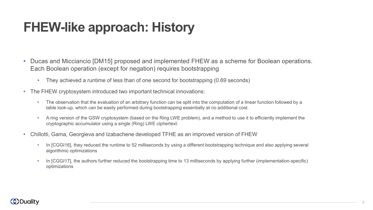# **FHEW-like approach: History**

- Ducas and Micciancio [DM15] proposed and implemented FHEW as a scheme for Boolean operations. Each Boolean operation (except for negation) requires bootstrapping
	- They achieved a runtime of less than of one second for bootstrapping (0.69 seconds)
- The FHEW cryptosystem introduced two important technical innovations:
	- The observation that the evaluation of an arbitrary function can be split into the computation of a linear function followed by a table look-up, which can be easily performed during bootstrapping essentially at no additional cost.
	- A ring version of the GSW cryptosystem (based on the Ring LWE problem), and a method to use it to efficiently implement the cryptographic accumulator using a single (Ring) LWE ciphertext.
- Chillotti, Gama, Georgieva and Izabachene developed TFHE as an improved version of FHEW
	- In [CGGI16], they reduced the runtime to 52 milliseconds by using a different bootstrapping technique and also applying several algorithmic optimizations
	- In [CGGI17], the authors further reduced the bootstrapping time to 13 milliseconds by applying further (implementation-specific) optimizations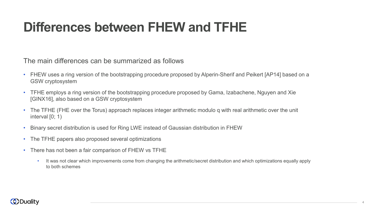## **Differences between FHEW and TFHE**

The main differences can be summarized as follows

- FHEW uses a ring version of the bootstrapping procedure proposed by Alperin-Sherif and Peikert [AP14] based on a GSW cryptosystem
- TFHE employs a ring version of the bootstrapping procedure proposed by Gama, Izabachene, Nguyen and Xie [GINX16], also based on a GSW cryptosystem
- The TFHE (FHE over the Torus) approach replaces integer arithmetic modulo q with real arithmetic over the unit interval [0; 1)
- Binary secret distribution is used for Ring LWE instead of Gaussian distribution in FHEW
- The TFHE papers also proposed several optimizations
- There has not been a fair comparison of FHEW vs TFHE
	- It was not clear which improvements come from changing the arithmetic/secret distribution and which optimizations equally apply to both schemes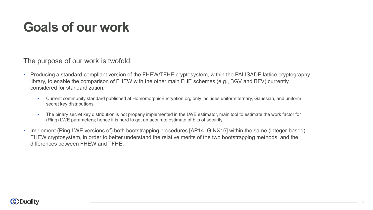# **Goals of our work**

The purpose of our work is twofold:

- Producing a standard-compliant version of the FHEW/TFHE cryptosystem, within the PALISADE lattice cryptography library, to enable the comparison of FHEW with the other main FHE schemes (e.g., BGV and BFV) currently considered for standardization.
	- Current community standard published at HomomorphicEncryption.org only includes uniform ternary, Gaussian, and uniform secret key distributions
	- The binary secret key distribution is not properly implemented in the LWE estimator, main tool to estimate the work factor for (Ring) LWE parameters; hence it is hard to get an accurate estimate of bits of security
- Implement (Ring LWE versions of) both bootstrapping procedures [AP14, GINX16] within the same (integer-based) FHEW cryptosystem, in order to better understand the relative merits of the two bootstrapping methods, and the differences between FHEW and TFHE.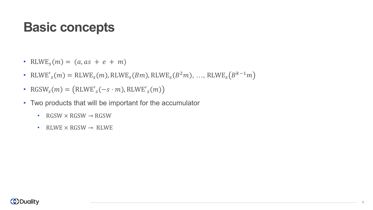### **Basic concepts**

- RLWE<sub>s</sub> $(m) = (a, as + e + m)$
- RLWE'<sub>S</sub> $(m)$  = RLWE<sub>S</sub> $(m)$ , RLWE<sub>S</sub> $(Bm)$ , RLWE<sub>S</sub> $(B^2m)$ , ..., RLWE<sub>S</sub> $(B^{k-1}m)$
- RGSW<sub>s</sub> $(m) = (RLWE'_{s}(-s \cdot m))$ , RLWE'<sub>s</sub> $(m)$
- Two products that will be important for the accumulator
	- RGSW  $\times$  RGSW  $\rightarrow$  RGSW
	- RLWE  $\times$  RGSW  $\rightarrow$  RLWE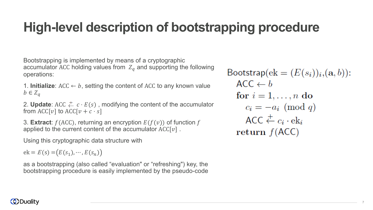# **High-level description of bootstrapping procedure**

Bootstrapping is implemented by means of a cryptographic accumulator ACC holding values from  $Z_a$  and supporting the following operations:

1. **Initialize**:  $\text{ACC} \leftarrow b$ , setting the content of ACC to any known value  $b \in Z_a$ 

2. **Update**: ACC  $\neq c \cdot E(s)$ , modifying the content of the accumulator from ACC[v] to ACC[v +  $c \cdot s$ ]

3. **Extract**:  $f(ACC)$ , returning an encryption  $E(f(v))$  of function f applied to the current content of the accumulator  $ACC[v]$ .

Using this cryptographic data structure with

 $ek = E(s) = (E(s_1), \cdots, E(s_n))$ 

as a bootstrapping (also called "evaluation" or "refreshing") key, the bootstrapping procedure is easily implemented by the pseudo-code Bootstrap( $ek = (E(s_i))_i$ ,  $(a, b)$ ):  $ACC \leftarrow b$ for  $i = 1, \ldots, n$  do  $c_i = -a_i \pmod{q}$ ACC  $\stackrel{+}{\leftarrow} c_i \cdot ek_i$ return  $f(ACC)$ 

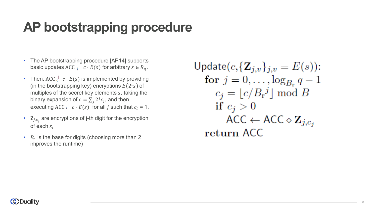### **AP bootstrapping procedure**

- The AP bootstrapping procedure [AP14] supports basic updates ACC  $\overset{+}{\leftarrow} c \cdot E(s)$  for arbitrary  $s \in R_a$ .
- Then,  $ACC \overset{+}{\leftarrow} c \cdot E(s)$  is implemented by providing (in the bootstrapping key) encryptions  $E(2^{i}s)$  of multiples of the secret key elements  $s$ , taking the binary expansion of  $c = \sum_i 2^j c_i$ , and then executing ACC  $\stackrel{+}{\leftarrow} c \cdot E(s)$  for all *i* such that  $c_i = 1$ .
- $\mathbf{Z}_{j,c_j}$  are encryptions of j-th digit for the encryption of each  $s_i$
- $B_r$  is the base for digits (choosing more than 2 improves the runtime)

Update $(c, {\{Z_{i,v}\}}_{i,v} = E(s))$ : for  $j = 0, ..., \log_{B_r} q - 1$  $c_j = |c/B_r^j| \mod B$ if  $c_i > 0$  $\mathsf{ACC}\leftarrow\mathsf{ACC}\diamond\mathbf{Z}_{i,c_i}$ return ACC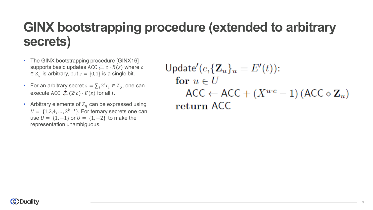### **GINX bootstrapping procedure (extended to arbitrary secrets)**

- The GINX bootstrapping procedure [GINX16] supports basic updates ACC  $\stackrel{+}{\leftarrow} c \cdot E(s)$  where c  $\in Z_a$  is arbitrary, but  $s = \{0,1\}$  is a single bit.
- For an arbitrary secret  $s = \sum_i 2^i c_i \in Z_q$ , one can execute ACC  $\stackrel{+}{\leftarrow} (2^l c) \cdot E(s)$  for all *i*.
- Arbitrary elements of  $Z_q$  can be expressed using  $U = \{1,2,4,\ldots, 2^{k-1}\}.$  For ternary secrets one can use  $U = \{1, -1\}$  or  $U = \{1, -2\}$  to make the representation unambiguous.

Update'(c, $\{Z_u\}_u = E'(t)$ ): for  $u \in U$  $\mathsf{ACC}\leftarrow\mathsf{ACC}+(X^{u\cdot c}-1)\left(\mathsf{ACC}\diamond\mathbf{Z}_u\right)$ return ACC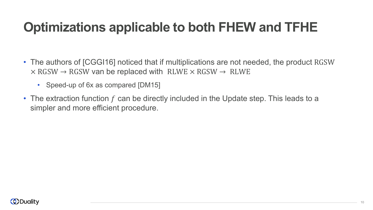# **Optimizations applicable to both FHEW and TFHE**

- The authors of [CGGI16] noticed that if multiplications are not needed, the product RGSW  $\times$  RGSW  $\rightarrow$  RGSW van be replaced with RLWE  $\times$  RGSW  $\rightarrow$  RLWE
	- Speed-up of 6x as compared [DM15]
- The extraction function  $f$  can be directly included in the Update step. This leads to a simpler and more efficient procedure.

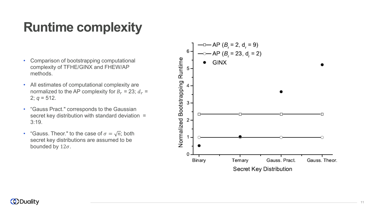# **Runtime complexity**

- Comparison of bootstrapping computational complexity of TFHE/GINX and FHEW/AP methods.
- All estimates of computational complexity are normalized to the AP complexity for  $B_r = 23$ ;  $d_r =$ 2; *q* = 512.
- "Gauss Pract." corresponds to the Gaussian secret key distribution with standard deviation = 3:19.
- "Gauss. Theor." to the case of  $\sigma = \sqrt{n}$ ; both secret key distributions are assumed to be bounded by  $12\sigma$ .

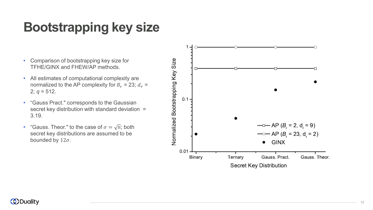## **Bootstrapping key size**

- Comparison of bootstrapping key size for TFHE/GINX and FHEW/AP methods.
- All estimates of computational complexity are normalized to the AP complexity for  $B_r = 23$ ;  $d_r =$ 2;  $q = 512$ .
- "Gauss Pract." corresponds to the Gaussian secret key distribution with standard deviation = 3.19.
- "Gauss. Theor." to the case of  $\sigma = \sqrt{n}$ ; both secret key distributions are assumed to be bounded by  $12\sigma$ .

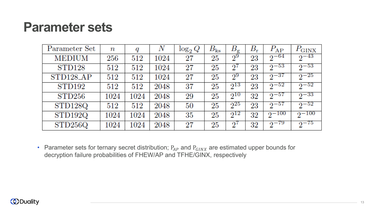#### **Parameter sets**

| Parameter Set      | $\pmb{n}$ | q    | Ν    | $\log_2 Q$ | $B_{\rm ks}$ | $B_{\bf g}$ | $B_{\rm r}$ | $P_{\rm AP}$ | $P_{\rm GINX}$ |
|--------------------|-----------|------|------|------------|--------------|-------------|-------------|--------------|----------------|
| <b>MEDIUM</b>      | 256       | 512  | 1024 | 27         | 25           | $2^9$       | 23          | $2^{-64}$    | $2^{-43}$      |
| STD <sub>128</sub> | 512       | 512  | 1024 | 27         | 25           | $2^7$       | 23          | $2^{-53}$    | $2^{-53}$      |
| $STD128$ AP        | 512       | 512  | 1024 | 27         | 25           | $2^9$       | 23          | $2^{-37}$    | $2^{-25}$      |
| STD <sub>192</sub> | 512       | 512  | 2048 | 37         | 25           | $2^{13}$    | 23          | $2^{-52}$    | $2^{-52}$      |
| STD256             | 1024      | 1024 | 2048 | 29         | 25           | $2^{10}$    | 32          | $2^{-57}$    | $2^{-33}$      |
| STD128Q            | 512       | 512  | 2048 | 50         | 25           | $2^{25}$    | 23          | $2^{-57}$    | $2^{-52}$      |
| STD192Q            | 1024      | 1024 | 2048 | 35         | 25           | $2^{12}$    | 32          | $2^{-100}$   | $2^{-100}$     |
| STD256Q            | 1024      | 1024 | 2048 | 27         | 25           | $2^{7}$     | 32          | $2^{-79}$    | $2^{-75}$      |

• Parameter sets for ternary secret distribution;  $P_{AP}$  and  $P_{GINX}$  are estimated upper bounds for decryption failure probabilities of FHEW/AP and TFHE/GINX, respectively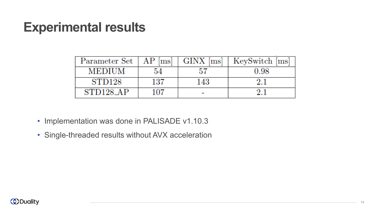#### **Experimental results**

| Parameter Set      | $AP$ [ms] | $GINX$ [ms] | KeySwitch [ms] |
|--------------------|-----------|-------------|----------------|
| <b>MEDIUM</b>      | 54        |             | 0.98           |
| STD <sub>128</sub> | 137       | 143         |                |
| $STD128$ AP        | 107       |             |                |

- Implementation was done in PALISADE v1.10.3
- Single-threaded results without AVX acceleration

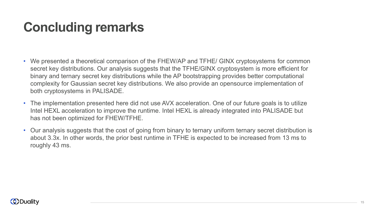# **Concluding remarks**

- We presented a theoretical comparison of the FHEW/AP and TFHE/ GINX cryptosystems for common secret key distributions. Our analysis suggests that the TFHE/GINX cryptosystem is more efficient for binary and ternary secret key distributions while the AP bootstrapping provides better computational complexity for Gaussian secret key distributions. We also provide an opensource implementation of both cryptosystems in PALISADE.
- The implementation presented here did not use AVX acceleration. One of our future goals is to utilize Intel HEXL acceleration to improve the runtime. Intel HEXL is already integrated into PALISADE but has not been optimized for FHEW/TFHE.
- Our analysis suggests that the cost of going from binary to ternary uniform ternary secret distribution is about 3.3x. In other words, the prior best runtime in TFHE is expected to be increased from 13 ms to roughly 43 ms.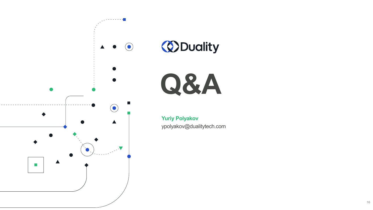